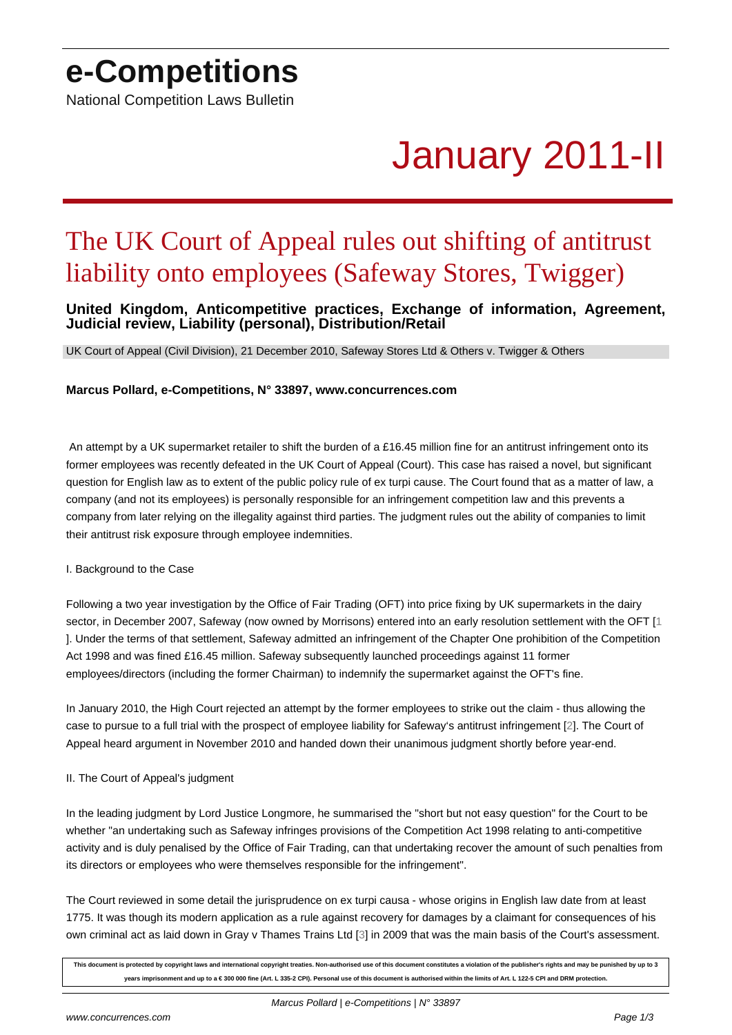## **e-Competitions**

National Competition Laws Bulletin

# January 2011-II

## The UK Court of Appeal rules out shifting of antitrust liability onto employees (Safeway Stores, Twigger)

### **United Kingdom, Anticompetitive practices, Exchange of information, Agreement, Judicial review, Liability (personal), Distribution/Retail**

UK Court of Appeal (Civil Division), 21 December 2010, Safeway Stores Ltd & Others v. Twigger & Others

#### **Marcus Pollard, e-Competitions, N° 33897, www.concurrences.com**

 An attempt by a UK supermarket retailer to shift the burden of a £16.45 million fine for an antitrust infringement onto its former employees was recently defeated in the UK Court of Appeal (Court). This case has raised a novel, but significant question for English law as to extent of the public policy rule of ex turpi cause. The Court found that as a matter of law, a company (and not its employees) is personally responsible for an infringement competition law and this prevents a company from later relying on the illegality against third parties. The judgment rules out the ability of companies to limit their antitrust risk exposure through employee indemnities.

#### I. Background to the Case

Following a two year investigation by the Office of Fair Trading (OFT) into price fixing by UK supermarkets in the dairy sector, in December 2007, Safeway (now owned by Morrisons) entered into an early resolution settlement with the OFT [1 ]. Under the terms of that settlement, Safeway admitted an infringement of the Chapter One prohibition of the Competition Act 1998 and was fined £16.45 million. Safeway subsequently launched proceedings against 11 former employees/directors (including the former Chairman) to indemnify the supermarket against the OFT's fine.

In January 2010, the High Court rejected an attempt by the former employees to strike out the claim - thus allowing the case to pursue to a full trial with the prospect of employee liability for Safeway's antitrust infringement [2]. The Court of Appeal heard argument in November 2010 and handed down their unanimous judgment shortly before year-end.

#### II. The Court of Appeal's judgment

In the leading judgment by Lord Justice Longmore, he summarised the "short but not easy question" for the Court to be whether "an undertaking such as Safeway infringes provisions of the Competition Act 1998 relating to anti-competitive activity and is duly penalised by the Office of Fair Trading, can that undertaking recover the amount of such penalties from its directors or employees who were themselves responsible for the infringement".

The Court reviewed in some detail the jurisprudence on ex turpi causa - whose origins in English law date from at least 1775. It was though its modern application as a rule against recovery for damages by a claimant for consequences of his own criminal act as laid down in Gray v Thames Trains Ltd [3] in 2009 that was the main basis of the Court's assessment.

**This document is protected by copyright laws and international copyright treaties. Non-authorised use of this document constitutes a violation of the publisher's rights and may be punished by up to 3** years imprisonment and up to a € 300 000 fine (Art. L 335-2 CPI). Personal use of this document is authorised within the limits of Art. L 122-5 CPI and DRM protection

Marcus Pollard | e-[Co](#nb3)mpetitions | N° 33897

www.concurrences.com **Page 1/3**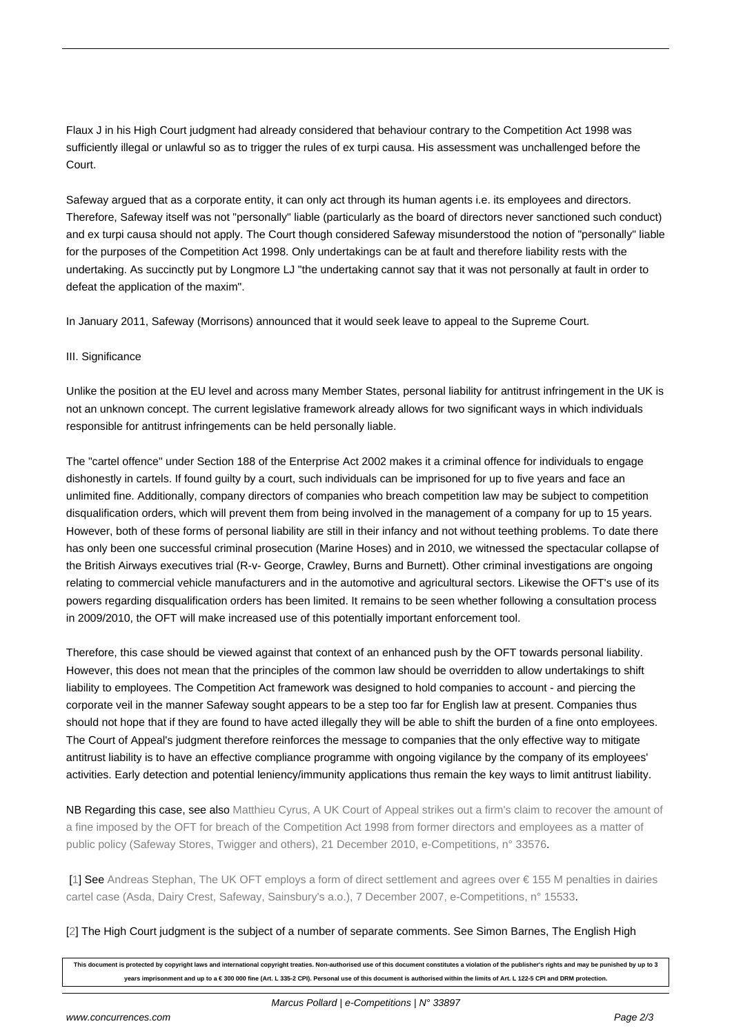Flaux J in his High Court judgment had already considered that behaviour contrary to the Competition Act 1998 was sufficiently illegal or unlawful so as to trigger the rules of ex turpi causa. His assessment was unchallenged before the Court.

Safeway argued that as a corporate entity, it can only act through its human agents i.e. its employees and directors. Therefore, Safeway itself was not "personally" liable (particularly as the board of directors never sanctioned such conduct) and ex turpi causa should not apply. The Court though considered Safeway misunderstood the notion of "personally" liable for the purposes of the Competition Act 1998. Only undertakings can be at fault and therefore liability rests with the undertaking. As succinctly put by Longmore LJ "the undertaking cannot say that it was not personally at fault in order to defeat the application of the maxim".

In January 2011, Safeway (Morrisons) announced that it would seek leave to appeal to the Supreme Court.

#### III. Significance

Unlike the position at the EU level and across many Member States, personal liability for antitrust infringement in the UK is not an unknown concept. The current legislative framework already allows for two significant ways in which individuals responsible for antitrust infringements can be held personally liable.

The "cartel offence" under Section 188 of the Enterprise Act 2002 makes it a criminal offence for individuals to engage dishonestly in cartels. If found guilty by a court, such individuals can be imprisoned for up to five years and face an unlimited fine. Additionally, company directors of companies who breach competition law may be subject to competition disqualification orders, which will prevent them from being involved in the management of a company for up to 15 years. However, both of these forms of personal liability are still in their infancy and not without teething problems. To date there has only been one successful criminal prosecution (Marine Hoses) and in 2010, we witnessed the spectacular collapse of the British Airways executives trial (R-v- George, Crawley, Burns and Burnett). Other criminal investigations are ongoing relating to commercial vehicle manufacturers and in the automotive and agricultural sectors. Likewise the OFT's use of its powers regarding disqualification orders has been limited. It remains to be seen whether following a consultation process in 2009/2010, the OFT will make increased use of this potentially important enforcement tool.

Therefore, this case should be viewed against that context of an enhanced push by the OFT towards personal liability. However, this does not mean that the principles of the common law should be overridden to allow undertakings to shift liability to employees. The Competition Act framework was designed to hold companies to account - and piercing the corporate veil in the manner Safeway sought appears to be a step too far for English law at present. Companies thus should not hope that if they are found to have acted illegally they will be able to shift the burden of a fine onto employees. The Court of Appeal's judgment therefore reinforces the message to companies that the only effective way to mitigate antitrust liability is to have an effective compliance programme with ongoing vigilance by the company of its employees' activities. Early detection and potential leniency/immunity applications thus remain the key ways to limit antitrust liability.

NB Regarding this case, see also Matthieu Cyrus, A UK Court of Appeal strikes out a firm's claim to recover the amount of a fine imposed by the OFT for breach of the Competition Act 1998 from former directors and employees as a matter of public policy (Safeway Stores, Twigger and others), 21 December 2010, e-Competitions, n° 33576.

 [1] See Andreas Stephan, The U[K OFT employs a form of direct settlement and agrees over € 155 M penalties in dairies](http://www.concurrences.com/abstract_bulletin_web.php3?id_article=33576) [cartel case \(Asda, Dairy Crest, Safeway, Sainsbury's a.o.\), 7 December 2007, e-Competitions, n° 15533.](http://www.concurrences.com/abstract_bulletin_web.php3?id_article=33576)

#### [[2\]](#nh1) The [High Court judgment is the subject of a number of separate comments. See Simon Barnes, The English High](http://www.concurrences.com/abstract_bulletin_web.php3?id_article=15533)

**[This document is protected by copyright laws and international copyright treaties. Non-authorised use of this document constitutes a violation of the publisher's rights and](http://www.concurrences.com/abstract_bulletin_web.php3?id_article=15533) may be punished by up to 3 years imprisonment and up to a € 300 000 fine (Art. L 335-2 CPI). Personal use of this document is authorised within the limits of Art. L 122-5 CPI and DRM protection.**